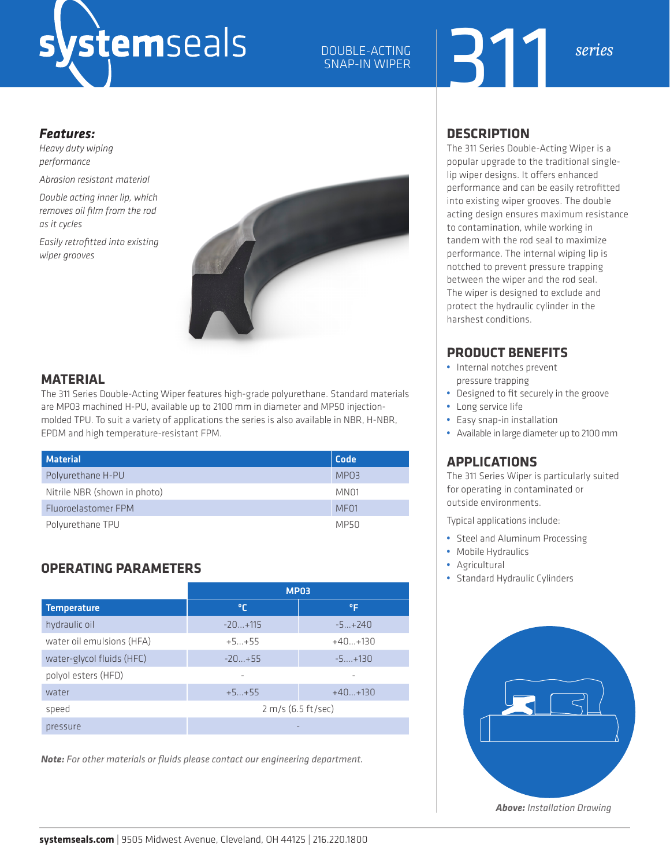# stemseals

### 311 DOUBLE-ACTING *series* SNAP-IN WIPER

#### *Features:*

*Heavy duty wiping performance*

*Abrasion resistant material*

*Double acting inner lip, which removes oil film from the rod as it cycles*

*Easily retrofitted into existing wiper grooves*



#### **MATERIAL**

The 311 Series Double-Acting Wiper features high-grade polyurethane. Standard materials are MP03 machined H-PU, available up to 2100 mm in diameter and MP50 injectionmolded TPU. To suit a variety of applications the series is also available in NBR, H-NBR, EPDM and high temperature-resistant FPM.

| <b>Material</b>              | Code             |
|------------------------------|------------------|
| Polyurethane H-PU            | MPO3             |
| Nitrile NBR (shown in photo) | MN <sub>01</sub> |
| Fluoroelastomer FPM          | MF <sub>01</sub> |
| Polyurethane TPU             | MP50             |

#### **OPERATING PARAMETERS**

|                           | <b>MP03</b>        |           |  |  |  |
|---------------------------|--------------------|-----------|--|--|--|
| <b>Temperature</b>        | ℃                  | °F        |  |  |  |
| hydraulic oil             | $-20+115$          | $-5+240$  |  |  |  |
| water oil emulsions (HFA) | $+5+55$            | $+40+130$ |  |  |  |
| water-glycol fluids (HFC) | $-20+55$           | $-5+130$  |  |  |  |
| polyol esters (HFD)       |                    |           |  |  |  |
| water                     | $+5+55$            | $+40+130$ |  |  |  |
| speed                     | 2 m/s (6.5 ft/sec) |           |  |  |  |
| pressure                  |                    |           |  |  |  |

*Note: For other materials or fluids please contact our engineering department.*

#### **DESCRIPTION**

The 311 Series Double-Acting Wiper is a popular upgrade to the traditional singlelip wiper designs. It offers enhanced performance and can be easily retrofitted into existing wiper grooves. The double acting design ensures maximum resistance to contamination, while working in tandem with the rod seal to maximize performance. The internal wiping lip is notched to prevent pressure trapping between the wiper and the rod seal. The wiper is designed to exclude and protect the hydraulic cylinder in the harshest conditions.

#### **PRODUCT BENEFITS**

- **•** Internal notches prevent pressure trapping
- **•** Designed to fit securely in the groove
- **•** Long service life
- **•** Easy snap-in installation
- **•** Available in large diameter up to 2100 mm

#### **APPLICATIONS**

The 311 Series Wiper is particularly suited for operating in contaminated or outside environments.

Typical applications include:

- **•** Steel and Aluminum Processing
- **•** Mobile Hydraulics
- **•** Agricultural
- **•** Standard Hydraulic Cylinders



*Above: Installation Drawing*